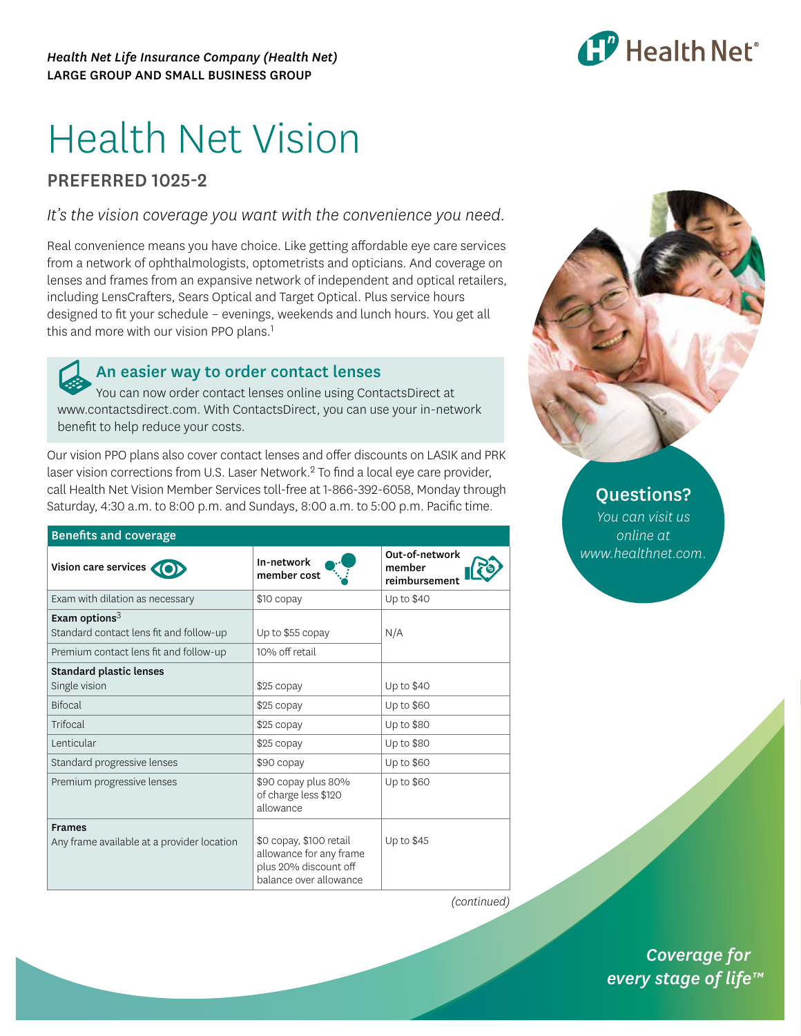

# Health Net Vision

## PREFERRED 1025-2

*It's the vision coverage you want with the convenience you need.*

Real convenience means you have choice. Like getting affordable eye care services from a network of ophthalmologists, optometrists and opticians. And coverage on lenses and frames from an expansive network of independent and optical retailers, including LensCrafters, Sears Optical and Target Optical. Plus service hours designed to fit your schedule – evenings, weekends and lunch hours. You get all this and more with our vision PPO plans.<sup>1</sup>

### An easier way to order contact lenses

You can now order contact lenses online using ContactsDirect at [www.contactsdirect.com.](www.contactsdirect.com) With ContactsDirect, you can use your in-network benefit to help reduce your costs.

Our vision PPO plans also cover contact lenses and offer discounts on LASIK and PRK laser vision corrections from U.S. Laser Network.2 To find a local eye care provider, call Health Net Vision Member Services toll-free at 1-866-392-6058, Monday through Saturday, 4:30 a.m. to 8:00 p.m. and Sundays, 8:00 a.m. to 5:00 p.m. Pacific time.

| <b>Benefits and coverage</b>                                |                                                                                                       |                                           |  |
|-------------------------------------------------------------|-------------------------------------------------------------------------------------------------------|-------------------------------------------|--|
| Vision care services                                        | In-network<br>member cost                                                                             | Out-of-network<br>member<br>reimbursement |  |
| Exam with dilation as necessary                             | \$10 copay                                                                                            | Up to \$40                                |  |
| Exam options $3$<br>Standard contact lens fit and follow-up | Up to \$55 copay                                                                                      | N/A                                       |  |
| Premium contact lens fit and follow-up                      | 10% off retail                                                                                        |                                           |  |
| <b>Standard plastic lenses</b><br>Single vision             | \$25 copay                                                                                            | Up to \$40                                |  |
| <b>Bifocal</b>                                              | \$25 copay                                                                                            | Up to \$60                                |  |
| Trifocal                                                    | \$25 copay                                                                                            | Up to \$80                                |  |
| Lenticular                                                  | \$25 copay                                                                                            | Up to \$80                                |  |
| Standard progressive lenses                                 | \$90 copay                                                                                            | Up to \$60                                |  |
| Premium progressive lenses                                  | \$90 copay plus 80%<br>of charge less \$120<br>allowance                                              | Up to \$60                                |  |
| <b>Frames</b><br>Any frame available at a provider location | \$0 copay, \$100 retail<br>allowance for any frame<br>plus 20% discount off<br>balance over allowance | Up to \$45                                |  |



*You can visit us online at <www.healthnet.com>.*

*(continued)*

*(continued) Coverage for every stage of life™*

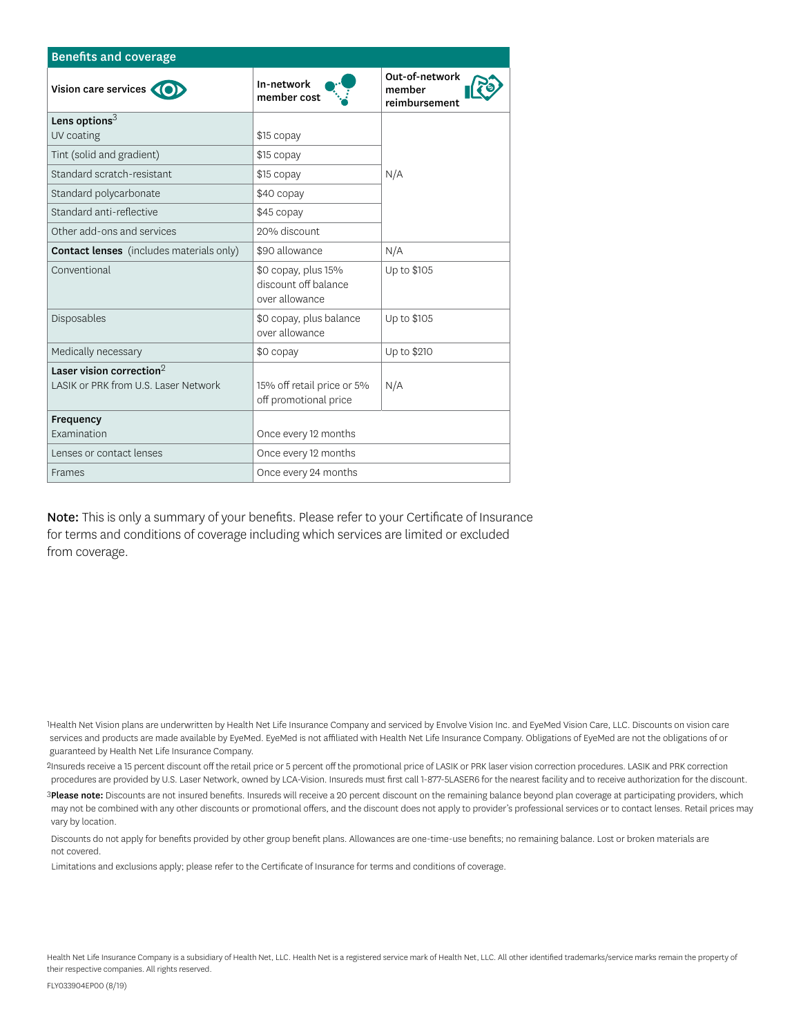| <b>Benefits and coverage</b>                    |                                                               |                                           |  |
|-------------------------------------------------|---------------------------------------------------------------|-------------------------------------------|--|
| Vision care services                            | In-network<br>member cost                                     | Out-of-network<br>member<br>reimbursement |  |
| Lens options $3$                                |                                                               |                                           |  |
| UV coating                                      | \$15 copay                                                    |                                           |  |
| Tint (solid and gradient)                       | \$15 copay                                                    |                                           |  |
| Standard scratch-resistant                      | \$15 copay                                                    | N/A                                       |  |
| Standard polycarbonate                          | \$40 copay                                                    |                                           |  |
| Standard anti-reflective                        | \$45 copay                                                    |                                           |  |
| Other add-ons and services                      | 20% discount                                                  |                                           |  |
| <b>Contact lenses</b> (includes materials only) | \$90 allowance                                                | N/A                                       |  |
| Conventional                                    | \$0 copay, plus 15%<br>discount off balance<br>over allowance | Up to \$105                               |  |
| Disposables                                     | \$0 copay, plus balance<br>over allowance                     | Up to \$105                               |  |
| Medically necessary                             | \$0 copay                                                     | Up to \$210                               |  |
| Laser vision correction $2$                     |                                                               |                                           |  |
| LASIK or PRK from U.S. Laser Network            | 15% off retail price or 5%<br>off promotional price           | N/A                                       |  |
| Frequency                                       |                                                               |                                           |  |
| Examination                                     | Once every 12 months                                          |                                           |  |
| Lenses or contact lenses                        | Once every 12 months                                          |                                           |  |
| Frames                                          | Once every 24 months                                          |                                           |  |

Note: This is only a summary of your benefits. Please refer to your Certificate of Insurance for terms and conditions of coverage including which services are limited or excluded from coverage.

1Health Net Vision plans are underwritten by Health Net Life Insurance Company and serviced by Envolve Vision Inc. and EyeMed Vision Care, LLC. Discounts on vision care services and products are made available by EyeMed. EyeMed is not affiliated with Health Net Life Insurance Company. Obligations of EyeMed are not the obligations of or guaranteed by Health Net Life Insurance Company.

2Insureds receive a 15 percent discount off the retail price or 5 percent off the promotional price of LASIK or PRK laser vision correction procedures. LASIK and PRK correction procedures are provided by U.S. Laser Network, owned by LCA-Vision. Insureds must first call 1-877-5LASER6 for the nearest facility and to receive authorization for the discount.

3Please note: Discounts are not insured benefits. Insureds will receive a 20 percent discount on the remaining balance beyond plan coverage at participating providers, which may not be combined with any other discounts or promotional offers, and the discount does not apply to provider's professional services or to contact lenses. Retail prices may vary by location.

 Discounts do not apply for benefits provided by other group benefit plans. Allowances are one-time-use benefits; no remaining balance. Lost or broken materials are not covered.

Limitations and exclusions apply; please refer to the Certificate of Insurance for terms and conditions of coverage.

Health Net Life Insurance Company is a subsidiary of Health Net, LLC. Health Net is a registered service mark of Health Net, LLC. All other identified trademarks/service marks remain the property of their respective companies. All rights reserved.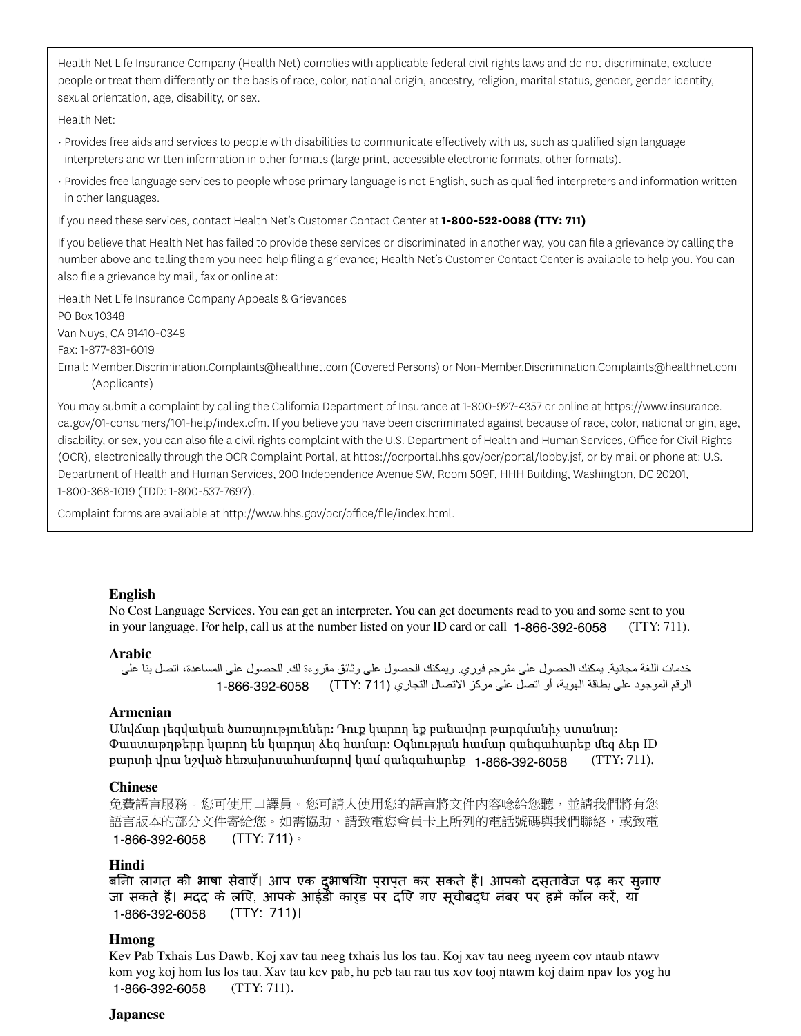Health Net Life Insurance Company (Health Net) complies with applicable federal civil rights laws and do not discriminate, exclude people or treat them differently on the basis of race, color, national origin, ancestry, religion, marital status, gender, gender identity, sexual orientation, age, disability, or sex.

Health Net:

- Provides free aids and services to people with disabilities to communicate effectively with us, such as qualified sign language interpreters and written information in other formats (large print, accessible electronic formats, other formats).
- Provides free language services to people whose primary language is not English, such as qualified interpreters and information written in other languages.

If you need these services, contact Health Net's Customer Contact Center at **1-800-522-0088 (TTY: 711)**

If you believe that Health Net has failed to provide these services or discriminated in another way, you can file a grievance by calling the number above and telling them you need help filing a grievance; Health Net's Customer Contact Center is available to help you. You can also file a grievance by mail, fax or online at:

Health Net Life Insurance Company Appeals & Grievances PO Box 10348

Van Nuys, CA 91410-0348

Fax: 1-877-831-6019

Email: [Member.Discrimination.Complaints@healthnet.com](Mail to:Member.Discrimination.Complaints@healthnet.com) (Covered Persons) or [Non-Member.Discrimination.Complaints@healthnet.com](Mail to:Non-Member.Discrimination.Complaints@healthnet.com) (Applicants)

You may submit a complaint by calling the California Department of Insurance at 1-800-927-4357 or online at [https://www.insurance.](https://www.insurance.ca.gov/01-consumers/101-help/index.cfm) [ca.gov/01-consumers/101-help/index.cfm.](https://www.insurance.ca.gov/01-consumers/101-help/index.cfm) If you believe you have been discriminated against because of race, color, national origin, age, disability, or sex, you can also file a civil rights complaint with the U.S. Department of Health and Human Services, Office for Civil Rights (OCR), electronically through the OCR Complaint Portal, at [https://ocrportal.hhs.gov/ocr/portal/lobby.jsf,](https://ocrportal.hhs.gov/ocr/portal/lobby.jsf) or by mail or phone at: U.S. Department of Health and Human Services, 200 Independence Avenue SW, Room 509F, HHH Building, Washington, DC 20201, 1-800-368-1019 (TDD: 1-800-537-7697).

Complaint forms are available at<http://www.hhs.gov/ocr/office/file/index.html>.

#### **English**

No Cost Language Services. You can get an interpreter. You can get documents read to you and some sent to you in your language. For help, call us at the number listed on your ID card or call 1-866-392-6058 (TTY: 711).

#### **Arabic**

```
خدمات اللغة مجانية. يمكنك الحصول على مترجم فوري. ويمكنك الحصول على وثائق مقروءة لك. للحصول على المساعدة، اتصل بنا على 
        الرقم الموجود على بطاقة الهوية، أو اتصل على مركز الاتصال التجاري (TTY: 711)      6058-392-6058 1-866
```
#### **Armenian**

Անվճար լեզվական ծառայություններ: Դուք կարող եք բանավոր թարգմանիչ ստանալ: Փաստաթղթերը կարող են կարդալ ձեզ համար: Օգնության համար զանգահարեք մեզ ձեր ID քարտի վրա նշված հեռախոսահամարով կամ զանգահարեք **1-866-392-6058** (TTY: 711).

#### **Chinese**

免費語言服務。您可使用口譯員。您可請人使用您的語言將文件內容唸給您聽,並請我們將有您 語言版本的部分文件寄給您。如需協助,請致電您會員卡上所列的電話號碼與我們聯絡,或致電 (TTY: 711)。 1-866-392-6058

#### **Hindi**

बिना लागत की भाषा सेवाएँ। आप एक दुभाषिया प्राप्त कर सकते हैं। आपको दस्तावेज पढ़ कर सुनाए जा सकते हैं। मदद के लिए, आपके आईडी कार्ड पर दिए गए सूचीबद्ध नंबर पर हमें कॉल करें, या (TTY: 711)। 1-866-392-6058

#### **Hmong**

Kev Pab Txhais Lus Dawb. Koj xav tau neeg txhais lus los tau. Koj xav tau neeg nyeem cov ntaub ntawv kom yog koj hom lus los tau. Xav tau kev pab, hu peb tau rau tus xov tooj ntawm koj daim npav los yog hu (TTY: 711). 1-866-392-6058

#### **Japanese**